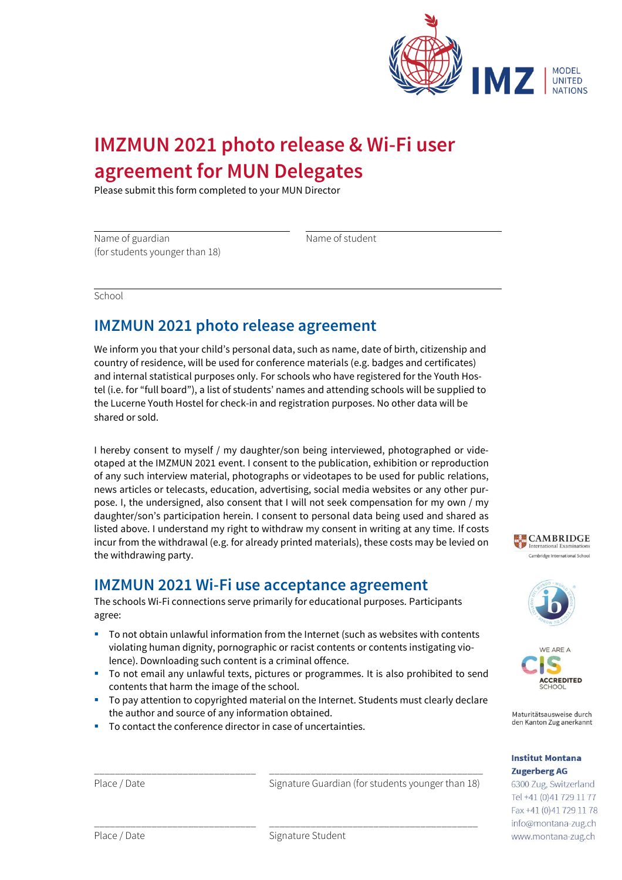

## **IMZMUN 2021 photo release & Wi-Fi user agreement for MUN Delegates**

Please submit this form completed to your MUN Director

Name of guardian (for students younger than 18) Name of student

School

### **IMZMUN 2021 photo release agreement**

We inform you that your child's personal data, such as name, date of birth, citizenship and country of residence, will be used for conference materials (e.g. badges and certificates) and internal statistical purposes only. For schools who have registered for the Youth Hostel (i.e. for "full board"), a list of students' names and attending schools will be supplied to the Lucerne Youth Hostel for check-in and registration purposes. No other data will be shared or sold.

I hereby consent to myself / my daughter/son being interviewed, photographed or videotaped at the IMZMUN 2021 event. I consent to the publication, exhibition or reproduction of any such interview material, photographs or videotapes to be used for public relations, news articles or telecasts, education, advertising, social media websites or any other purpose. I, the undersigned, also consent that I will not seek compensation for my own / my daughter/son's participation herein. I consent to personal data being used and shared as listed above. I understand my right to withdraw my consent in writing at any time. If costs incur from the withdrawal (e.g. for already printed materials), these costs may be levied on the withdrawing party.

### **IMZMUN 2021 Wi-Fi use acceptance agreement**

The schools Wi-Fi connections serve primarily for educational purposes. Participants agree:

- To not obtain unlawful information from the Internet (such as websites with contents violating human dignity, pornographic or racist contents or contents instigating violence). Downloading such content is a criminal offence.
- To not email any unlawful texts, pictures or programmes. It is also prohibited to send contents that harm the image of the school.
- To pay attention to copyrighted material on the Internet. Students must clearly declare the author and source of any information obtained.
- To contact the conference director in case of uncertainties.







Maturitätsausweise durch den Kanton Zug anerkannt

#### **Institut Montana Zugerberg AG**

6300 Zug, Switzerland Tel +41 (0)41 729 11 77 Fax +41 (0)41 729 11 78 info@montana-zug.ch www.montana-zug.ch

Place / Date

\_\_\_\_\_\_\_\_\_\_\_\_\_\_\_\_\_\_\_\_\_\_\_\_\_\_\_\_\_\_\_

\_\_\_\_\_\_\_\_\_\_\_\_\_\_\_\_\_\_\_\_\_\_\_\_\_\_\_\_\_\_\_

\_\_\_\_\_\_\_\_\_\_\_\_\_\_\_\_\_\_\_\_\_\_\_\_\_\_\_\_\_\_\_\_\_\_\_\_\_\_\_\_\_ Signature Guardian (for students younger than 18)

\_\_\_\_\_\_\_\_\_\_\_\_\_\_\_\_\_\_\_\_\_\_\_\_\_\_\_\_\_\_\_\_\_\_\_\_\_\_\_\_

Signature Student